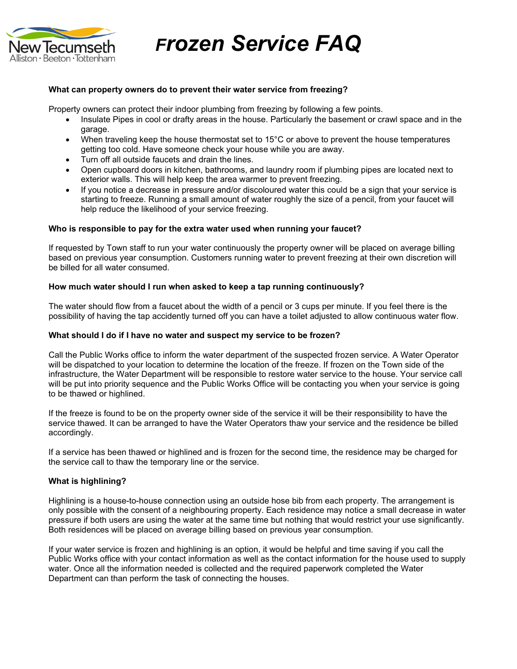

*Frozen Service FAQ*

#### **What can property owners do to prevent their water service from freezing?**

Property owners can protect their indoor plumbing from freezing by following a few points.

- Insulate Pipes in cool or drafty areas in the house. Particularly the basement or crawl space and in the garage.
- When traveling keep the house thermostat set to 15°C or above to prevent the house temperatures getting too cold. Have someone check your house while you are away.
- Turn off all outside faucets and drain the lines.
- Open cupboard doors in kitchen, bathrooms, and laundry room if plumbing pipes are located next to exterior walls. This will help keep the area warmer to prevent freezing.
- If you notice a decrease in pressure and/or discoloured water this could be a sign that your service is starting to freeze. Running a small amount of water roughly the size of a pencil, from your faucet will help reduce the likelihood of your service freezing.

## **Who is responsible to pay for the extra water used when running your faucet?**

If requested by Town staff to run your water continuously the property owner will be placed on average billing based on previous year consumption. Customers running water to prevent freezing at their own discretion will be billed for all water consumed.

#### **How much water should I run when asked to keep a tap running continuously?**

The water should flow from a faucet about the width of a pencil or 3 cups per minute. If you feel there is the possibility of having the tap accidently turned off you can have a toilet adjusted to allow continuous water flow.

#### **What should I do if I have no water and suspect my service to be frozen?**

Call the Public Works office to inform the water department of the suspected frozen service. A Water Operator will be dispatched to your location to determine the location of the freeze. If frozen on the Town side of the infrastructure, the Water Department will be responsible to restore water service to the house. Your service call will be put into priority sequence and the Public Works Office will be contacting you when your service is going to be thawed or highlined.

If the freeze is found to be on the property owner side of the service it will be their responsibility to have the service thawed. It can be arranged to have the Water Operators thaw your service and the residence be billed accordingly.

If a service has been thawed or highlined and is frozen for the second time, the residence may be charged for the service call to thaw the temporary line or the service.

## **What is highlining?**

Highlining is a house-to-house connection using an outside hose bib from each property. The arrangement is only possible with the consent of a neighbouring property. Each residence may notice a small decrease in water pressure if both users are using the water at the same time but nothing that would restrict your use significantly. Both residences will be placed on average billing based on previous year consumption.

If your water service is frozen and highlining is an option, it would be helpful and time saving if you call the Public Works office with your contact information as well as the contact information for the house used to supply water. Once all the information needed is collected and the required paperwork completed the Water Department can than perform the task of connecting the houses.